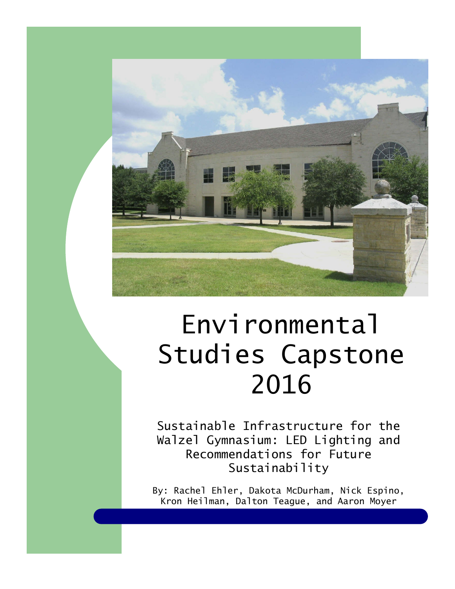

# *Environmental Studies Capstone 2016*

*Sustainable Infrastructure for the Walzel Gymnasium: LED Lighting and Recommendations for Future Sustainability* 

*By: Rachel Ehler, Dakota McDurham, Nick Espino, Kron Heilman, Dalton Teague, and Aaron Moyer*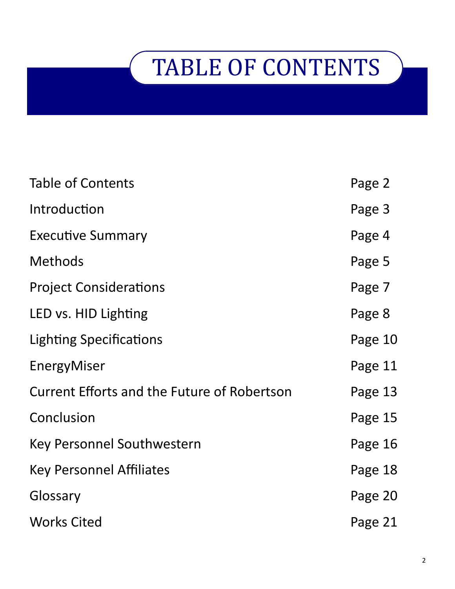# TABLE OF CONTENTS

| <b>Table of Contents</b>                           | Page 2  |
|----------------------------------------------------|---------|
| Introduction                                       | Page 3  |
| <b>Executive Summary</b>                           | Page 4  |
| <b>Methods</b>                                     | Page 5  |
| <b>Project Considerations</b>                      | Page 7  |
| LED vs. HID Lighting                               | Page 8  |
| <b>Lighting Specifications</b>                     | Page 10 |
| EnergyMiser                                        | Page 11 |
| <b>Current Efforts and the Future of Robertson</b> | Page 13 |
| Conclusion                                         | Page 15 |
| Key Personnel Southwestern                         | Page 16 |
| <b>Key Personnel Affiliates</b>                    | Page 18 |
| Glossary                                           | Page 20 |
| <b>Works Cited</b>                                 | Page 21 |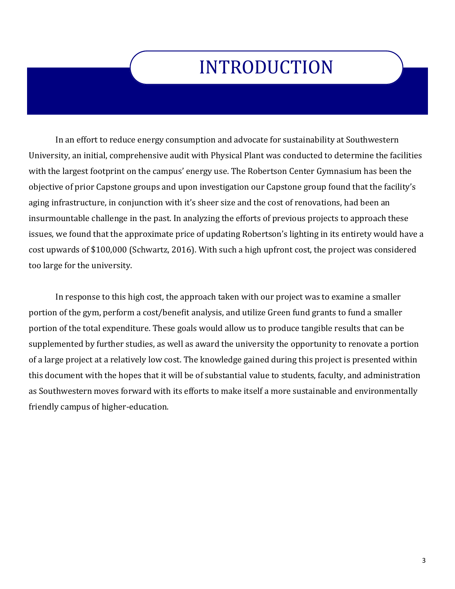### INTRODUCTION

In an effort to reduce energy consumption and advocate for sustainability at Southwestern University, an initial, comprehensive audit with Physical Plant was conducted to determine the facilities with the largest footprint on the campus' energy use. The Robertson Center Gymnasium has been the objective of prior Capstone groups and upon investigation our Capstone group found that the facility's aging infrastructure, in conjunction with it's sheer size and the cost of renovations, had been an insurmountable challenge in the past. In analyzing the efforts of previous projects to approach these issues, we found that the approximate price of updating Robertson's lighting in its entirety would have a cost upwards of \$100,000 (Schwartz, 2016). With such a high upfront cost, the project was considered too large for the university.

In response to this high cost, the approach taken with our project was to examine a smaller portion of the gym, perform a cost/benefit analysis, and utilize Green fund grants to fund a smaller portion of the total expenditure. These goals would allow us to produce tangible results that can be supplemented by further studies, as well as award the university the opportunity to renovate a portion of a large project at a relatively low cost. The knowledge gained during this project is presented within this document with the hopes that it will be of substantial value to students, faculty, and administration as Southwestern moves forward with its efforts to make itself a more sustainable and environmentally friendly campus of higher-education.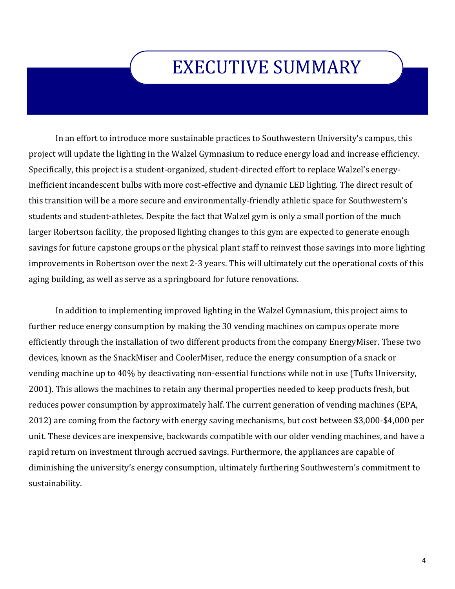### EXECUTIVE SUMMARY

In an effort to introduce more sustainable practices to Southwestern University's campus, this project will update the lighting in the Walzel Gymnasium to reduce energy load and increase efficiency. Specifically, this project is a student-organized, student-directed effort to replace Walzel's energyinefficient incandescent bulbs with more cost-effective and dynamic LED lighting. The direct result of this transition will be a more secure and environmentally-friendly athletic space for Southwestern's students and student-athletes. Despite the fact that Walzel gym is only a small portion of the much larger Robertson facility, the proposed lighting changes to this gym are expected to generate enough savings for future capstone groups or the physical plant staff to reinvest those savings into more lighting improvements in Robertson over the next 2-3 years. This will ultimately cut the operational costs of this aging building, as well as serve as a springboard for future renovations.

In addition to implementing improved lighting in the Walzel Gymnasium, this project aims to further reduce energy consumption by making the 30 vending machines on campus operate more efficiently through the installation of two different products from the company EnergyMiser. These two devices, known as the SnackMiser and CoolerMiser, reduce the energy consumption of a snack or vending machine up to 40% by deactivating non-essential functions while not in use (Tufts University, 2001). This allows the machines to retain any thermal properties needed to keep products fresh, but reduces power consumption by approximately half. The current generation of vending machines (EPA, 2012) are coming from the factory with energy saving mechanisms, but cost between \$3,000-\$4,000 per unit. These devices are inexpensive, backwards compatible with our older vending machines, and have a rapid return on investment through accrued savings. Furthermore, the appliances are capable of diminishing the university's energy consumption, ultimately furthering Southwestern's commitment to sustainability.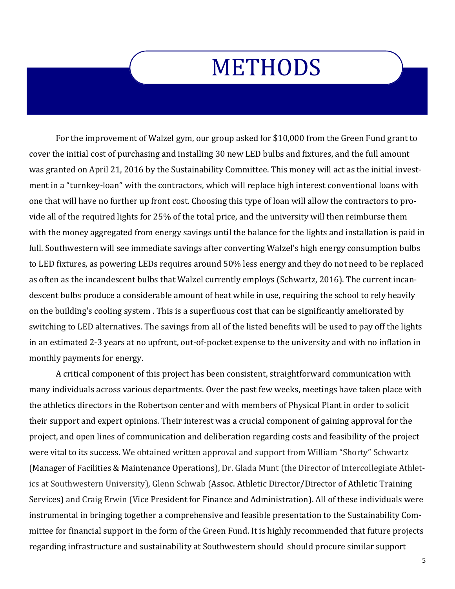## METHODS

For the improvement of Walzel gym, our group asked for \$10,000 from the Green Fund grant to cover the initial cost of purchasing and installing 30 new LED bulbs and fixtures, and the full amount was granted on April 21, 2016 by the Sustainability Committee. This money will act as the initial investment in a "turnkey-loan" with the contractors, which will replace high interest conventional loans with one that will have no further up front cost. Choosing this type of loan will allow the contractors to provide all of the required lights for 25% of the total price, and the university will then reimburse them with the money aggregated from energy savings until the balance for the lights and installation is paid in full. Southwestern will see immediate savings after converting Walzel's high energy consumption bulbs to LED fixtures, as powering LEDs requires around 50% less energy and they do not need to be replaced as often as the incandescent bulbs that Walzel currently employs (Schwartz, 2016). The current incandescent bulbs produce a considerable amount of heat while in use, requiring the school to rely heavily on the building's cooling system . This is a superfluous cost that can be significantly ameliorated by switching to LED alternatives. The savings from all of the listed benefits will be used to pay off the lights in an estimated 2-3 years at no upfront, out-of-pocket expense to the university and with no inflation in monthly payments for energy.

A critical component of this project has been consistent, straightforward communication with many individuals across various departments. Over the past few weeks, meetings have taken place with the athletics directors in the Robertson center and with members of Physical Plant in order to solicit their support and expert opinions. Their interest was a crucial component of gaining approval for the project, and open lines of communication and deliberation regarding costs and feasibility of the project were vital to its success. We obtained written approval and support from William "Shorty" Schwartz (Manager of Facilities & Maintenance Operations), Dr. Glada Munt (the Director of Intercollegiate Athletics at Southwestern University), Glenn Schwab (Assoc. Athletic Director/Director of Athletic Training Services) and Craig Erwin (Vice President for Finance and Administration). All of these individuals were instrumental in bringing together a comprehensive and feasible presentation to the Sustainability Committee for financial support in the form of the Green Fund. It is highly recommended that future projects regarding infrastructure and sustainability at Southwestern should should procure similar support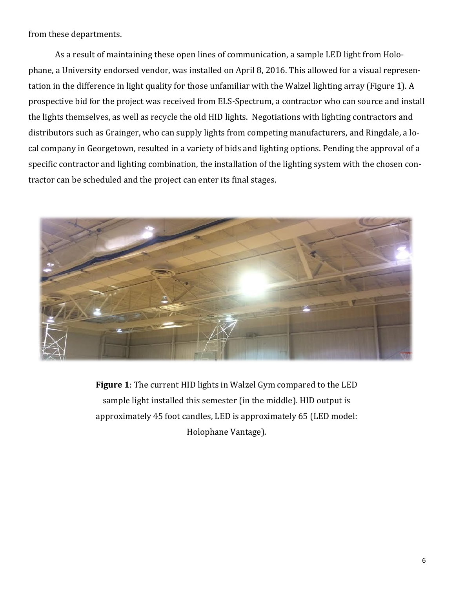from these departments.

As a result of maintaining these open lines of communication, a sample LED light from Holophane, a University endorsed vendor, was installed on April 8, 2016. This allowed for a visual representation in the difference in light quality for those unfamiliar with the Walzel lighting array (Figure 1). A prospective bid for the project was received from ELS-Spectrum, a contractor who can source and install the lights themselves, as well as recycle the old HID lights. Negotiations with lighting contractors and distributors such as Grainger, who can supply lights from competing manufacturers, and Ringdale, a local company in Georgetown, resulted in a variety of bids and lighting options. Pending the approval of a specific contractor and lighting combination, the installation of the lighting system with the chosen contractor can be scheduled and the project can enter its final stages.



**Figure 1**: The current HID lights in Walzel Gym compared to the LED sample light installed this semester (in the middle). HID output is approximately 45 foot candles, LED is approximately 65 (LED model: Holophane Vantage).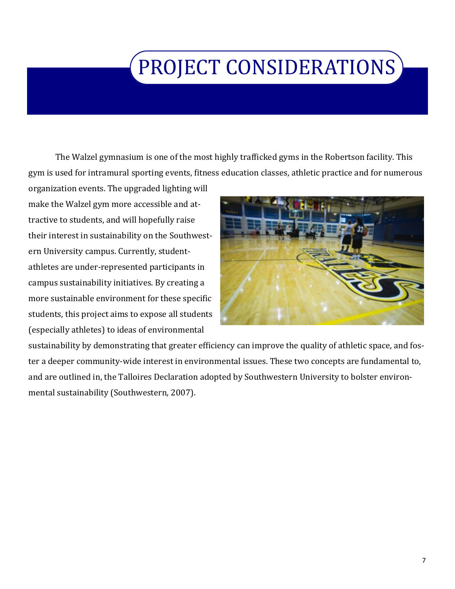## PROJECT CONSIDERATIONS

The Walzel gymnasium is one of the most highly trafficked gyms in the Robertson facility. This gym is used for intramural sporting events, fitness education classes, athletic practice and for numerous

organization events. The upgraded lighting will make the Walzel gym more accessible and attractive to students, and will hopefully raise their interest in sustainability on the Southwestern University campus. Currently, studentathletes are under-represented participants in campus sustainability initiatives. By creating a more sustainable environment for these specific students, this project aims to expose all students (especially athletes) to ideas of environmental



sustainability by demonstrating that greater efficiency can improve the quality of athletic space, and foster a deeper community-wide interest in environmental issues. These two concepts are fundamental to, and are outlined in, the Talloires Declaration adopted by Southwestern University to bolster environmental sustainability (Southwestern, 2007).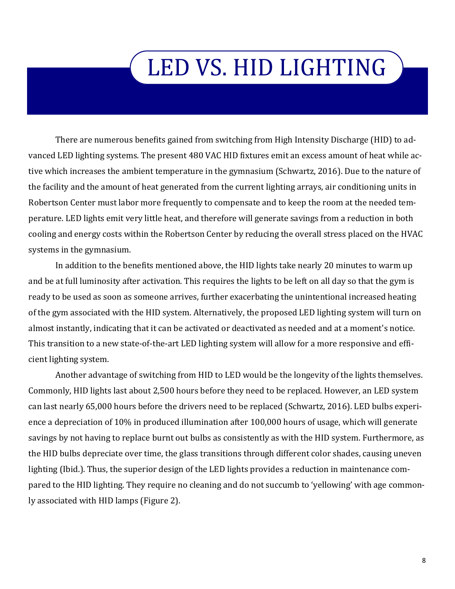# LED VS. HID LIGHTING

There are numerous benefits gained from switching from High Intensity Discharge (HID) to advanced LED lighting systems. The present 480 VAC HID fixtures emit an excess amount of heat while active which increases the ambient temperature in the gymnasium (Schwartz, 2016). Due to the nature of the facility and the amount of heat generated from the current lighting arrays, air conditioning units in Robertson Center must labor more frequently to compensate and to keep the room at the needed temperature. LED lights emit very little heat, and therefore will generate savings from a reduction in both cooling and energy costs within the Robertson Center by reducing the overall stress placed on the HVAC systems in the gymnasium.

In addition to the benefits mentioned above, the HID lights take nearly 20 minutes to warm up and be at full luminosity after activation. This requires the lights to be left on all day so that the gym is ready to be used as soon as someone arrives, further exacerbating the unintentional increased heating of the gym associated with the HID system. Alternatively, the proposed LED lighting system will turn on almost instantly, indicating that it can be activated or deactivated as needed and at a moment's notice. This transition to a new state-of-the-art LED lighting system will allow for a more responsive and efficient lighting system.

Another advantage of switching from HID to LED would be the longevity of the lights themselves. Commonly, HID lights last about 2,500 hours before they need to be replaced. However, an LED system can last nearly 65,000 hours before the drivers need to be replaced (Schwartz, 2016). LED bulbs experience a depreciation of 10% in produced illumination after 100,000 hours of usage, which will generate savings by not having to replace burnt out bulbs as consistently as with the HID system. Furthermore, as the HID bulbs depreciate over time, the glass transitions through different color shades, causing uneven lighting (Ibid.). Thus, the superior design of the LED lights provides a reduction in maintenance compared to the HID lighting. They require no cleaning and do not succumb to 'yellowing' with age commonly associated with HID lamps (Figure 2).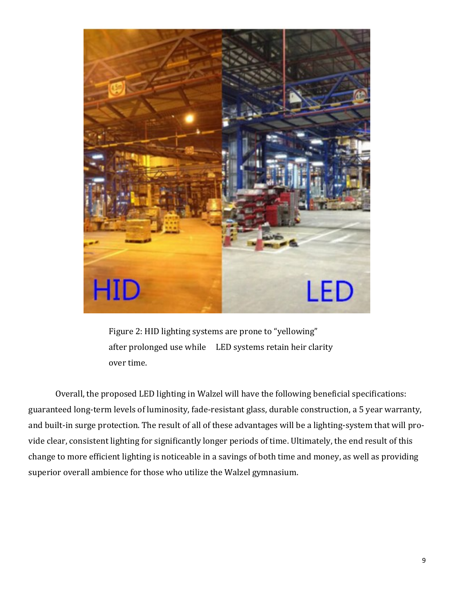

Figure 2: HID lighting systems are prone to "yellowing" after prolonged use while LED systems retain heir clarity over time.

Overall, the proposed LED lighting in Walzel will have the following beneficial specifications: guaranteed long-term levels of luminosity, fade-resistant glass, durable construction, a 5 year warranty, and built-in surge protection. The result of all of these advantages will be a lighting-system that will provide clear, consistent lighting for significantly longer periods of time. Ultimately, the end result of this change to more efficient lighting is noticeable in a savings of both time and money, as well as providing superior overall ambience for those who utilize the Walzel gymnasium.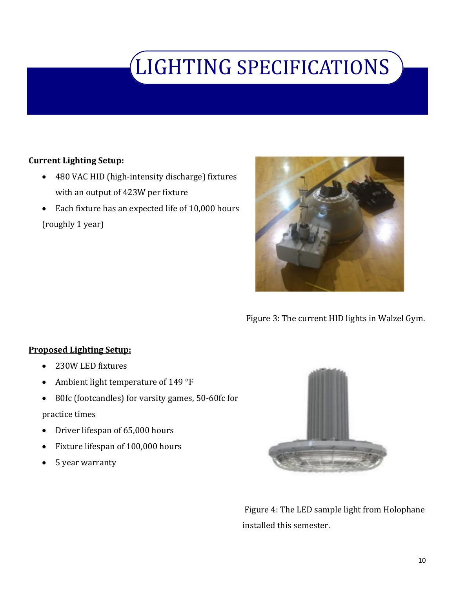## LIGHTING SPECIFICATIONS

### **Current Lighting Setup:**

- 480 VAC HID (high-intensity discharge) fixtures with an output of 423W per fixture
- Each fixture has an expected life of 10,000 hours (roughly 1 year)



Figure 3: The current HID lights in Walzel Gym.

### **Proposed Lighting Setup:**

- 230W LED fixtures
- Ambient light temperature of 149 °F
- 80fc (footcandles) for varsity games, 50-60fc for

### practice times

- Driver lifespan of 65,000 hours
- Fixture lifespan of 100,000 hours
- 5 year warranty



Figure 4: The LED sample light from Holophane installed this semester.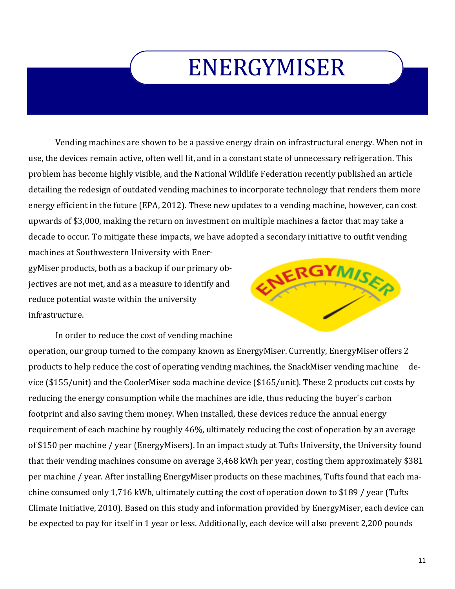## ENERGYMISER

Vending machines are shown to be a passive energy drain on infrastructural energy. When not in use, the devices remain active, often well lit, and in a constant state of unnecessary refrigeration. This problem has become highly visible, and the National Wildlife Federation recently published an article detailing the redesign of outdated vending machines to incorporate technology that renders them more energy efficient in the future (EPA, 2012). These new updates to a vending machine, however, can cost upwards of \$3,000, making the return on investment on multiple machines a factor that may take a decade to occur. To mitigate these impacts, we have adopted a secondary initiative to outfit vending machines at Southwestern University with Ener-

gyMiser products, both as a backup if our primary objectives are not met, and as a measure to identify and reduce potential waste within the university infrastructure.



In order to reduce the cost of vending machine operation, our group turned to the company known as EnergyMiser. Currently, EnergyMiser offers 2 products to help reduce the cost of operating vending machines, the SnackMiser vending machine device (\$155/unit) and the CoolerMiser soda machine device (\$165/unit). These 2 products cut costs by reducing the energy consumption while the machines are idle, thus reducing the buyer's carbon footprint and also saving them money. When installed, these devices reduce the annual energy requirement of each machine by roughly 46%, ultimately reducing the cost of operation by an average of \$150 per machine / year (EnergyMisers). In an impact study at Tufts University, the University found that their vending machines consume on average 3,468 kWh per year, costing them approximately \$381 per machine / year. After installing EnergyMiser products on these machines, Tufts found that each machine consumed only 1,716 kWh, ultimately cutting the cost of operation down to \$189 / year (Tufts Climate Initiative, 2010). Based on this study and information provided by EnergyMiser, each device can be expected to pay for itself in 1 year or less. Additionally, each device will also prevent 2,200 pounds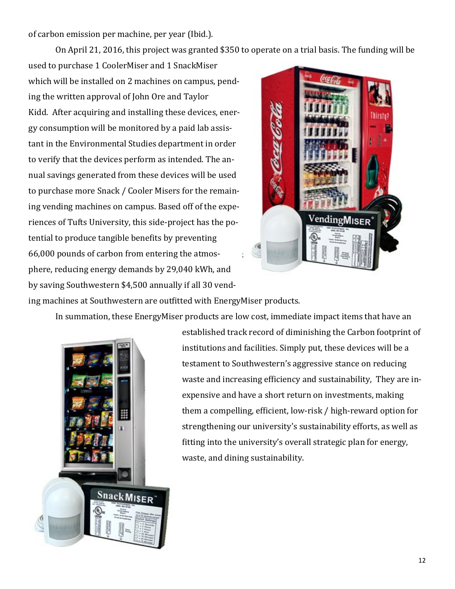of carbon emission per machine, per year (Ibid.).

On April 21, 2016, this project was granted \$350 to operate on a trial basis. The funding will be

used to purchase 1 CoolerMiser and 1 SnackMiser which will be installed on 2 machines on campus, pending the written approval of John Ore and Taylor Kidd. After acquiring and installing these devices, energy consumption will be monitored by a paid lab assistant in the Environmental Studies department in order to verify that the devices perform as intended. The annual savings generated from these devices will be used to purchase more Snack / Cooler Misers for the remaining vending machines on campus. Based off of the experiences of Tufts University, this side-project has the potential to produce tangible benefits by preventing 66,000 pounds of carbon from entering the atmosphere, reducing energy demands by 29,040 kWh, and by saving Southwestern \$4,500 annually if all 30 vend-



ing machines at Southwestern are outfitted with EnergyMiser products.

In summation, these EnergyMiser products are low cost, immediate impact items that have an



established track record of diminishing the Carbon footprint of institutions and facilities. Simply put, these devices will be a testament to Southwestern's aggressive stance on reducing waste and increasing efficiency and sustainability, They are inexpensive and have a short return on investments, making them a compelling, efficient, low-risk / high-reward option for strengthening our university's sustainability efforts, as well as fitting into the university's overall strategic plan for energy, waste, and dining sustainability.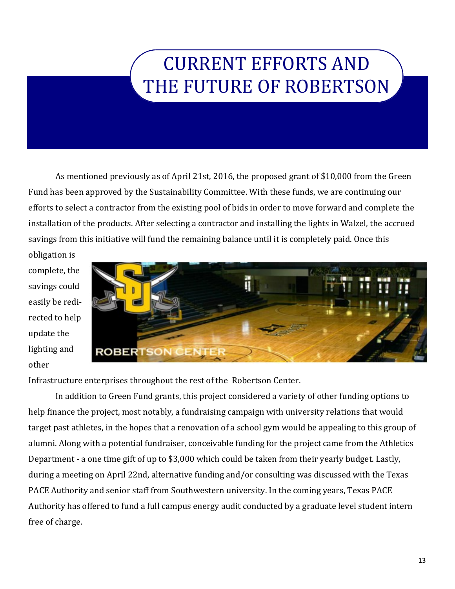### CURRENT EFFORTS AND THE FUTURE OF ROBERTSON

As mentioned previously as of April 21st, 2016, the proposed grant of \$10,000 from the Green Fund has been approved by the Sustainability Committee. With these funds, we are continuing our efforts to select a contractor from the existing pool of bids in order to move forward and complete the installation of the products. After selecting a contractor and installing the lights in Walzel, the accrued savings from this initiative will fund the remaining balance until it is completely paid. Once this

obligation is complete, the savings could easily be redirected to help update the lighting and other



Infrastructure enterprises throughout the rest of the Robertson Center.

In addition to Green Fund grants, this project considered a variety of other funding options to help finance the project, most notably, a fundraising campaign with university relations that would target past athletes, in the hopes that a renovation of a school gym would be appealing to this group of alumni. Along with a potential fundraiser, conceivable funding for the project came from the Athletics Department - a one time gift of up to \$3,000 which could be taken from their yearly budget. Lastly, during a meeting on April 22nd, alternative funding and/or consulting was discussed with the Texas PACE Authority and senior staff from Southwestern university. In the coming years, Texas PACE Authority has offered to fund a full campus energy audit conducted by a graduate level student intern free of charge.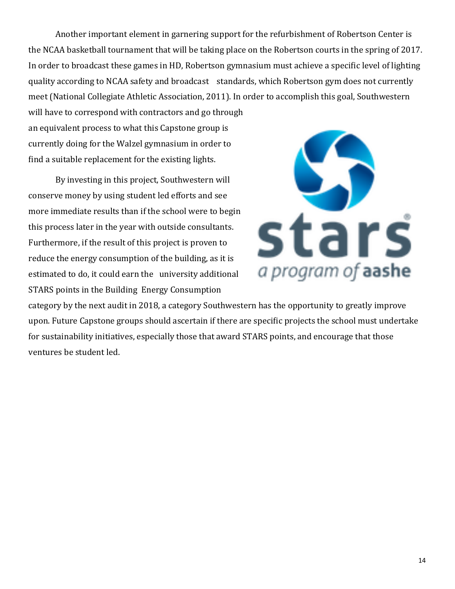Another important element in garnering support for the refurbishment of Robertson Center is the NCAA basketball tournament that will be taking place on the Robertson courts in the spring of 2017. In order to broadcast these games in HD, Robertson gymnasium must achieve a specific level of lighting quality according to NCAA safety and broadcast standards, which Robertson gym does not currently meet (National Collegiate Athletic Association, 2011). In order to accomplish this goal, Southwestern

will have to correspond with contractors and go through an equivalent process to what this Capstone group is currently doing for the Walzel gymnasium in order to find a suitable replacement for the existing lights.

By investing in this project, Southwestern will conserve money by using student led efforts and see more immediate results than if the school were to begin this process later in the year with outside consultants. Furthermore, if the result of this project is proven to reduce the energy consumption of the building, as it is estimated to do, it could earn the university additional STARS points in the Building Energy Consumption



category by the next audit in 2018, a category Southwestern has the opportunity to greatly improve upon. Future Capstone groups should ascertain if there are specific projects the school must undertake for sustainability initiatives, especially those that award STARS points, and encourage that those ventures be student led.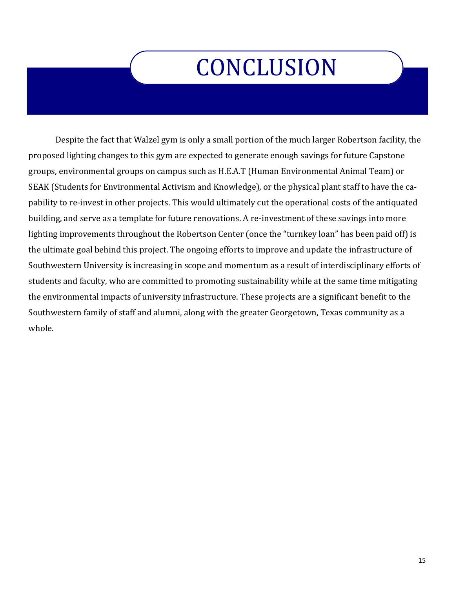# **CONCLUSION**

Despite the fact that Walzel gym is only a small portion of the much larger Robertson facility, the proposed lighting changes to this gym are expected to generate enough savings for future Capstone groups, environmental groups on campus such as H.E.A.T (Human Environmental Animal Team) or SEAK (Students for Environmental Activism and Knowledge), or the physical plant staff to have the capability to re-invest in other projects. This would ultimately cut the operational costs of the antiquated building, and serve as a template for future renovations. A re-investment of these savings into more lighting improvements throughout the Robertson Center (once the "turnkey loan" has been paid off) is the ultimate goal behind this project. The ongoing efforts to improve and update the infrastructure of Southwestern University is increasing in scope and momentum as a result of interdisciplinary efforts of students and faculty, who are committed to promoting sustainability while at the same time mitigating the environmental impacts of university infrastructure. These projects are a significant benefit to the Southwestern family of staff and alumni, along with the greater Georgetown, Texas community as a whole.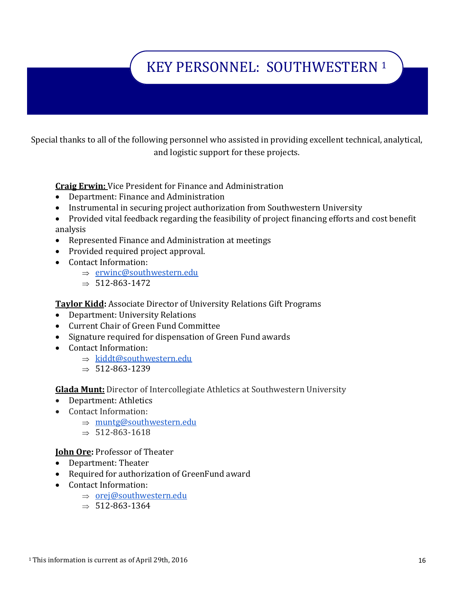### KEY PERSONNEL: SOUTHWESTERN <sup>1</sup>

Special thanks to all of the following personnel who assisted in providing excellent technical, analytical, and logistic support for these projects.

**Craig Erwin:** Vice President for Finance and Administration

- Department: Finance and Administration
- Instrumental in securing project authorization from Southwestern University
- Provided vital feedback regarding the feasibility of project financing efforts and cost benefit analysis
- Represented Finance and Administration at meetings
- Provided required project approval.
- Contact Information:
	- $\Rightarrow$  [erwinc@southwestern.edu](mailto:erwinc@southwestern.edu)
	- $\Rightarrow$  512-863-1472

**Taylor Kidd:** Associate Director of University Relations Gift Programs

- Department: University Relations
- Current Chair of Green Fund Committee
- Signature required for dispensation of Green Fund awards
- Contact Information:
	- $\Rightarrow$  [kiddt@southwestern.edu](mailto:kiddt@southwestern.edu)
	- $\Rightarrow$  512-863-1239

**Glada Munt:** Director of Intercollegiate Athletics at Southwestern University

- Department: Athletics
- Contact Information:
	- $\Rightarrow$  [muntg@southwestern.edu](mailto:muntg@southwestern.edu)
	- $\Rightarrow$  512-863-1618

#### **John Ore:** Professor of Theater

- Department: Theater
- Required for authorization of GreenFund award
- Contact Information:
	- $\Rightarrow$  [orej@southwestern.edu](mailto:orej@southwestern.edu)
	- $\Rightarrow$  512-863-1364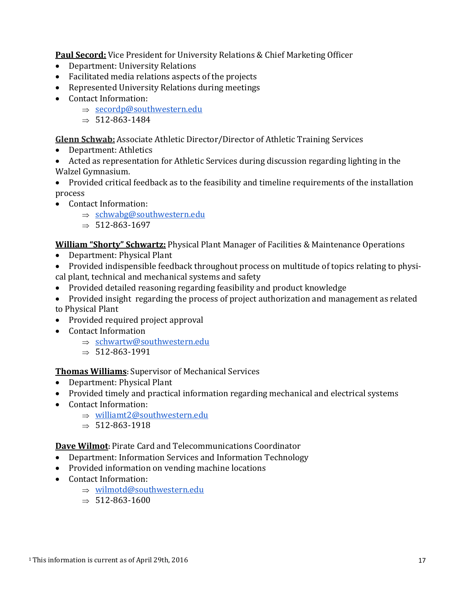**Paul Secord:** Vice President for University Relations & Chief Marketing Officer

- Department: University Relations
- Facilitated media relations aspects of the projects
- Represented University Relations during meetings
- Contact Information:
	- $\Rightarrow$  [secordp@southwestern.edu](mailto:secordp@southwestern.edu)
	- $\Rightarrow$  512-863-1484

**Glenn Schwab:** Associate Athletic Director/Director of Athletic Training Services

- Department: Athletics
- Acted as representation for Athletic Services during discussion regarding lighting in the Walzel Gymnasium.
- Provided critical feedback as to the feasibility and timeline requirements of the installation process
- Contact Information:
	- $\Rightarrow$  [schwabg@southwestern.edu](mailto:schwabg@southwestern.edu)
	- $\Rightarrow$  512-863-1697

**William "Shorty" Schwartz:** Physical Plant Manager of Facilities & Maintenance Operations

- Department: Physical Plant
- Provided indispensible feedback throughout process on multitude of topics relating to physical plant, technical and mechanical systems and safety
- Provided detailed reasoning regarding feasibility and product knowledge
- Provided insight regarding the process of project authorization and management as related to Physical Plant
- Provided required project approval
- Contact Information
	- $\Rightarrow$  [schwartw@southwestern.edu](mailto:schwartw@southwestern.edu)
	- $\Rightarrow$  512-863-1991

### **Thomas Williams:** Supervisor of Mechanical Services

- Department: Physical Plant
- Provided timely and practical information regarding mechanical and electrical systems
- Contact Information:
	- $\Rightarrow$  [williamt2@southwestern.edu](mailto:williamt2@southwestern.edu)
	- $\Rightarrow$  512-863-1918

**Dave Wilmot:** Pirate Card and Telecommunications Coordinator

- Department: Information Services and Information Technology
- Provided information on vending machine locations
- Contact Information:
	- $\Rightarrow$  [wilmotd@southwestern.edu](mailto:williamt2@southwestern.edu)
	- $\Rightarrow$  512-863-1600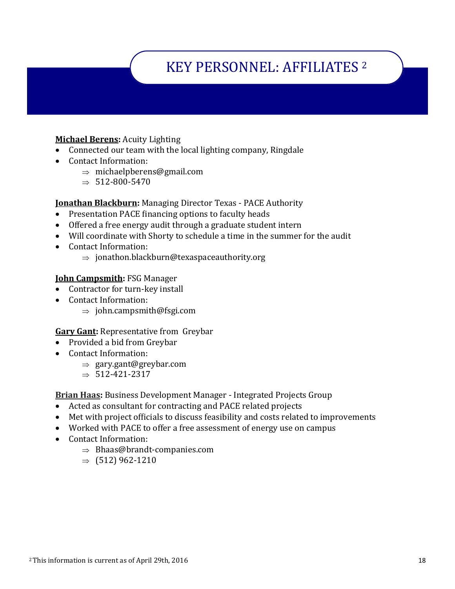### KEY PERSONNEL: AFFILIATES <sup>2</sup>

### **Michael Berens:** Acuity Lighting

- Connected our team with the local lighting company, Ringdale
- Contact Information:
	- $\Rightarrow$  michaelpberens@gmail.com
	- $\Rightarrow$  512-800-5470

**Jonathan Blackburn:** Managing Director Texas - PACE Authority

- Presentation PACE financing options to faculty heads
- Offered a free energy audit through a graduate student intern
- Will coordinate with Shorty to schedule a time in the summer for the audit
- Contact Information:
	- $\Rightarrow$  ionathon.blackburn@texaspaceauthority.org

#### **John Campsmith:** FSG Manager

- Contractor for turn-key install
- Contact Information:
	- $\Rightarrow$  john.campsmith@fsgi.com

#### **Gary Gant:** Representative from Greybar

- Provided a bid from Greybar
- Contact Information:
	- $\Rightarrow$  gary.gant@greybar.com
	- $\Rightarrow$  512-421-2317

**Brian Haas:** Business Development Manager - Integrated Projects Group

- Acted as consultant for contracting and PACE related projects
- Met with project officials to discuss feasibility and costs related to improvements
- Worked with PACE to offer a free assessment of energy use on campus
- Contact Information:
	- $\Rightarrow$  Bhaas@brandt-companies.com
	- $\Rightarrow$  (512) 962-1210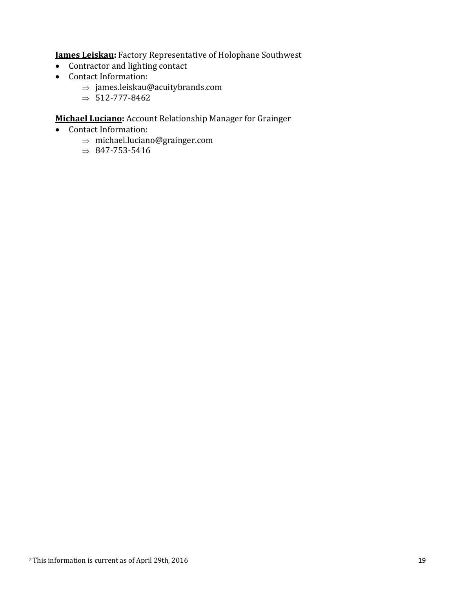**James Leiskau:** Factory Representative of Holophane Southwest

- Contractor and lighting contact
- Contact Information:
	- $\Rightarrow$  james.leiskau@acuitybrands.com
	- $\Rightarrow$  512-777-8462

### **Michael Luciano:** Account Relationship Manager for Grainger

- Contact Information:
	- $\Rightarrow$  michael.luciano@grainger.com
	- $\Rightarrow$  847-753-5416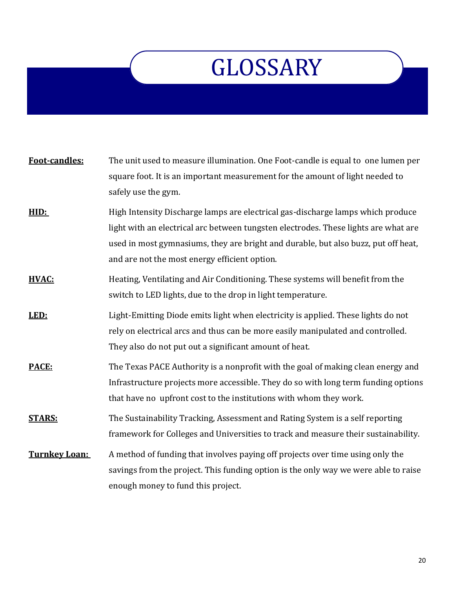## **GLOSSARY**

| Foot-candles: | The unit used to measure illumination. One Foot-candle is equal to one lumen per<br>square foot. It is an important measurement for the amount of light needed to<br>safely use the gym.                                                                                                                      |
|---------------|---------------------------------------------------------------------------------------------------------------------------------------------------------------------------------------------------------------------------------------------------------------------------------------------------------------|
| HID:          | High Intensity Discharge lamps are electrical gas-discharge lamps which produce<br>light with an electrical arc between tungsten electrodes. These lights are what are<br>used in most gymnasiums, they are bright and durable, but also buzz, put off heat,<br>and are not the most energy efficient option. |
| HVAC:         | Heating, Ventilating and Air Conditioning. These systems will benefit from the<br>switch to LED lights, due to the drop in light temperature.                                                                                                                                                                 |
| LED:          | Light-Emitting Diode emits light when electricity is applied. These lights do not<br>rely on electrical arcs and thus can be more easily manipulated and controlled.<br>They also do not put out a significant amount of heat.                                                                                |
| PACE:         | The Texas PACE Authority is a nonprofit with the goal of making clean energy and<br>Infrastructure projects more accessible. They do so with long term funding options<br>that have no upfront cost to the institutions with whom they work.                                                                  |
| <b>STARS:</b> | The Sustainability Tracking, Assessment and Rating System is a self reporting<br>framework for Colleges and Universities to track and measure their sustainability.                                                                                                                                           |
| Turnkey Loan: | A method of funding that involves paying off projects over time using only the<br>savings from the project. This funding option is the only way we were able to raise<br>enough money to fund this project.                                                                                                   |